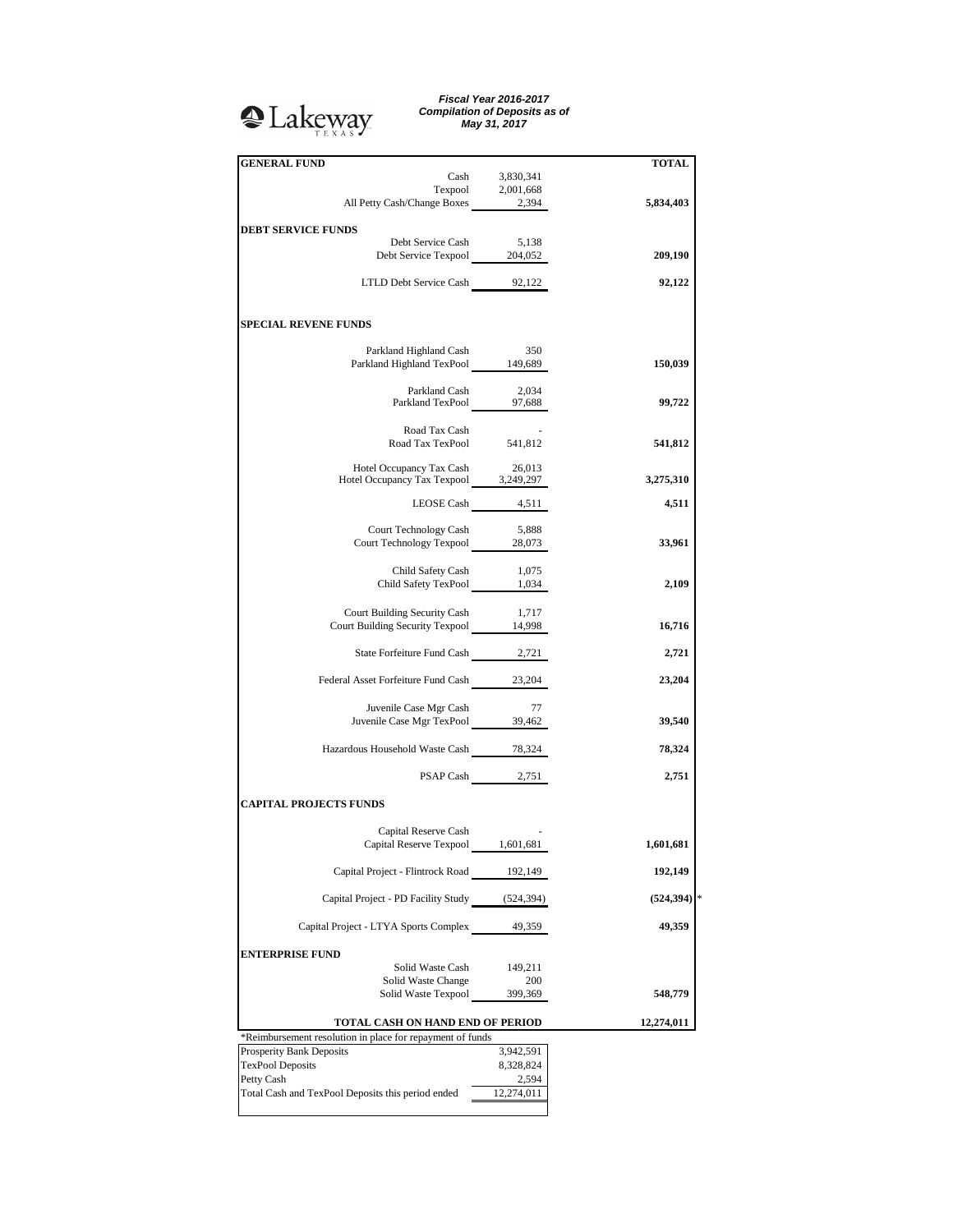## <sup>2</sup>Lakeway

*Fiscal Year 2016-2017 Compilation of Deposits as of May 31, 2017*

| <b>GENERAL FUND</b>                                                                                                               |                  | <b>TOTAL</b> |
|-----------------------------------------------------------------------------------------------------------------------------------|------------------|--------------|
|                                                                                                                                   | Cash 3,830,341   |              |
|                                                                                                                                   |                  |              |
| $\begin{tabular}{c} \textbf{Terpool} & \textbf{2,001,668} \\ \textbf{All Petty Cash/Change Boxes} & \textbf{2,394} \end{tabular}$ |                  | 5,834,403    |
|                                                                                                                                   |                  |              |
| <b>DEBT SERVICE FUNDS</b><br>Debt Service Cash                                                                                    | 5,138            |              |
| Debt Service Texpool 204,052                                                                                                      |                  | 209,190      |
|                                                                                                                                   |                  |              |
| LTLD Debt Service Cash 92,122                                                                                                     |                  | 92,122       |
|                                                                                                                                   |                  |              |
| <b>SPECIAL REVENE FUNDS</b>                                                                                                       |                  |              |
|                                                                                                                                   | 350              |              |
| Parkland Highland Cash<br>Parkland Highland TexPool 149,689                                                                       |                  | 150,039      |
|                                                                                                                                   |                  |              |
| Parkland Cash                                                                                                                     | 2,034            |              |
| Parkland Cash 2,034<br>Parkland TexPool 97,688                                                                                    |                  | 99,722       |
|                                                                                                                                   |                  |              |
| Road Tax Cash<br>Road Tax TexPool 541,812                                                                                         |                  |              |
|                                                                                                                                   |                  | 541,812      |
|                                                                                                                                   |                  |              |
| Hotel Occupancy Tax Cash 26,013<br>Hotel Occupancy Tax Texpool 3,249,297                                                          |                  | 3,275,310    |
|                                                                                                                                   | LEOSE Cash 4,511 | 4,511        |
|                                                                                                                                   |                  |              |
| Court Technology Cash                                                                                                             | 5,888            |              |
| Court Technology Texpool 28,073                                                                                                   |                  | 33,961       |
|                                                                                                                                   |                  |              |
| Child Safety Cash                                                                                                                 | 1,075            |              |
| Child Safety TexPool 1,034                                                                                                        |                  | 2,109        |
|                                                                                                                                   |                  |              |
| Court Building Security Cash 1,717<br>Court Building Security Texpool 14,998                                                      |                  | 16,716       |
|                                                                                                                                   |                  |              |
| State Forfeiture Fund Cash 2,721                                                                                                  |                  | 2,721        |
|                                                                                                                                   |                  |              |
| Federal Asset Forfeiture Fund Cash 23,204                                                                                         |                  | 23,204       |
|                                                                                                                                   |                  |              |
| Juvenile Case Mgr Cash<br>Juvenile Case Mgr TexPool 39,462                                                                        | 77               | 39,540       |
|                                                                                                                                   |                  |              |
| Hazardous Household Waste Cash 78,324                                                                                             |                  | 78,324       |
|                                                                                                                                   |                  |              |
|                                                                                                                                   | PSAP Cash 2,751  | 2,751        |
|                                                                                                                                   |                  |              |
| <b>CAPITAL PROJECTS FUNDS</b>                                                                                                     |                  |              |
| Capital Reserve Cash                                                                                                              |                  |              |
| Capital Reserve Texpool _ 1,601,681                                                                                               |                  | 1,601,681    |
|                                                                                                                                   |                  |              |
| Capital Project - Flintrock Road 192,149                                                                                          |                  | 192,149      |
|                                                                                                                                   |                  |              |
| Capital Project - PD Facility Study (524,394)                                                                                     |                  | (524, 394)   |
| Capital Project - LTYA Sports Complex                                                                                             | 49,359           | 49,359       |
|                                                                                                                                   |                  |              |
| <b>ENTERPRISE FUND</b>                                                                                                            |                  |              |
| Solid Waste Cash                                                                                                                  | 149,211          |              |
| Solid Waste Change                                                                                                                | 200              |              |
| Solid Waste Texpool                                                                                                               | 399,369          | 548,779      |
|                                                                                                                                   |                  |              |
| TOTAL CASH ON HAND END OF PERIOD<br>*Reimbursement resolution in place for repayment of funds                                     |                  | 12,274,011   |
| Prosperity Bank Deposits                                                                                                          | 3,942,591        |              |
| <b>TexPool Deposits</b>                                                                                                           | 8,328,824        |              |
| Petty Cash                                                                                                                        | 2,594            |              |
| Total Cash and TexPool Deposits this period ended                                                                                 | 12,274,011       |              |
|                                                                                                                                   |                  |              |